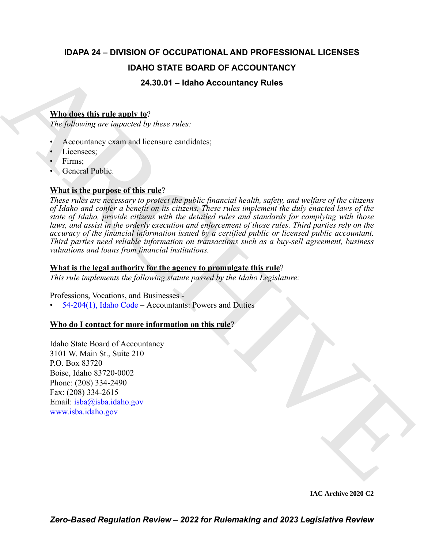## **IDAPA 24 – DIVISION OF OCCUPATIONAL AND PROFESSIONAL LICENSES IDAHO STATE BOARD OF ACCOUNTANCY**

## **24.30.01 – Idaho Accountancy Rules**

## **Who does this rule apply to**?

*The following are impacted by these rules:*

- Accountancy exam and licensure candidates;
- Licensees:
- Firms:
- General Public.

## **What is the purpose of this rule**?

**IDAHO STATE BOARD OF ACCOUNTANCY**<br> **ARROR CONTEXT CONTINUES**<br> **ARCHI[VE](mailto:isba@isba.idaho.gov) ARCHIVE AND A CONSULTANCY**<br> **ARCHIVE ARCHIVE ARCHIVE AND A CONSULTANCY**<br> **ARCHIVE ARCHIVE ARCHIVE AND A CONSULTANCY**<br> **ARCHIVE ARCHIVE ARCHIVE AND A** *These rules are necessary to protect the public financial health, safety, and welfare of the citizens of Idaho and confer a benefit on its citizens. These rules implement the duly enacted laws of the state of Idaho, provide citizens with the detailed rules and standards for complying with those laws, and assist in the orderly execution and enforcement of those rules. Third parties rely on the accuracy of the financial information issued by a certified public or licensed public accountant. Third parties need reliable information on transactions such as a buy-sell agreement, business valuations and loans from financial institutions.*

## **What is the legal authority for the agency to promulgate this rule**?

*This rule implements the following statute passed by the Idaho Legislature:*

Professions, Vocations, and Businesses -

 $54-204(1)$ , Idaho Code – Accountants: Powers and Duties

## **Who do I contact for more information on this rule**?

Idaho State Board of Accountancy 3101 W. Main St., Suite 210 P.O. Box 83720 Boise, Idaho 83720-0002 Phone: (208) 334-2490 Fax: (208) 334-2615 Email: isba@isba.idaho.gov www.isba.idaho.gov

**IAC Archive 2020 C2**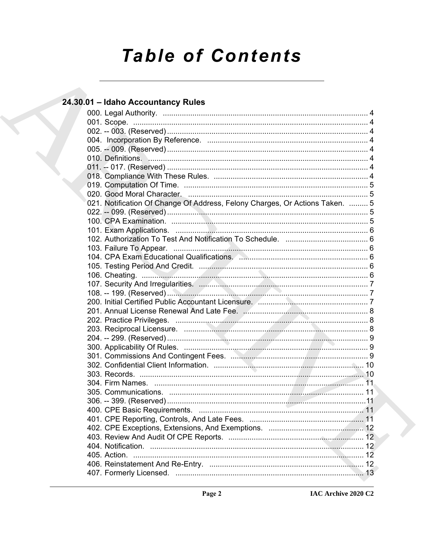# **Table of Contents**

## 24.30.01 - Idaho Accountancy Rules

|  | 021. Notification Of Change Of Address, Felony Charges, Or Actions Taken.  5 |  |
|--|------------------------------------------------------------------------------|--|
|  |                                                                              |  |
|  |                                                                              |  |
|  |                                                                              |  |
|  |                                                                              |  |
|  |                                                                              |  |
|  |                                                                              |  |
|  |                                                                              |  |
|  |                                                                              |  |
|  |                                                                              |  |
|  |                                                                              |  |
|  |                                                                              |  |
|  |                                                                              |  |
|  |                                                                              |  |
|  |                                                                              |  |
|  |                                                                              |  |
|  |                                                                              |  |
|  |                                                                              |  |
|  |                                                                              |  |
|  |                                                                              |  |
|  |                                                                              |  |
|  |                                                                              |  |
|  |                                                                              |  |
|  |                                                                              |  |
|  |                                                                              |  |
|  |                                                                              |  |
|  |                                                                              |  |
|  |                                                                              |  |
|  |                                                                              |  |
|  |                                                                              |  |
|  |                                                                              |  |
|  |                                                                              |  |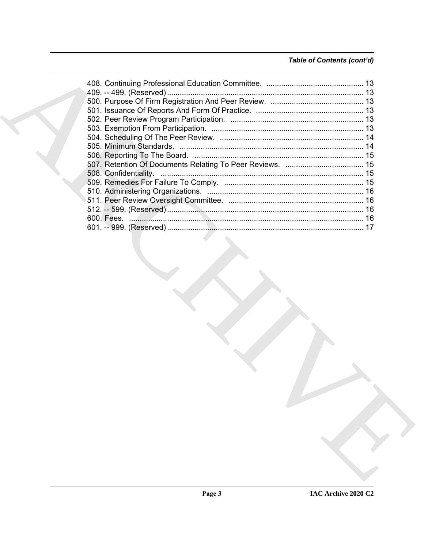## Table of Contents (cont'd)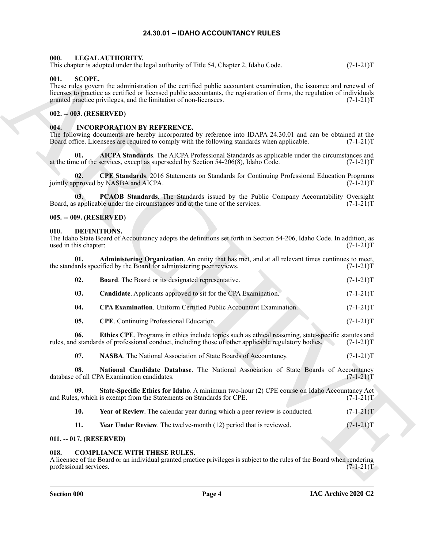#### **24.30.01 – IDAHO ACCOUNTANCY RULES**

#### <span id="page-3-23"></span><span id="page-3-1"></span><span id="page-3-0"></span>**000. LEGAL AUTHORITY.**

This chapter is adopted under the legal authority of Title 54, Chapter 2, Idaho Code. (7-1-21)T

#### <span id="page-3-24"></span><span id="page-3-2"></span>**001. SCOPE.**

#### <span id="page-3-3"></span>**002. -- 003. (RESERVED)**

#### <span id="page-3-22"></span><span id="page-3-4"></span>**004. INCORPORATION BY REFERENCE.**

#### <span id="page-3-5"></span>**005. -- 009. (RESERVED)**

#### <span id="page-3-16"></span><span id="page-3-15"></span><span id="page-3-14"></span><span id="page-3-13"></span><span id="page-3-12"></span><span id="page-3-11"></span><span id="page-3-10"></span><span id="page-3-6"></span>**010. DEFINITIONS.**

|                                | This chapter is adopted under the legal authority of Title 54, Chapter 2, Idaho Code.                                                                                                                                                                                                                                | $(7-1-21)T$ |
|--------------------------------|----------------------------------------------------------------------------------------------------------------------------------------------------------------------------------------------------------------------------------------------------------------------------------------------------------------------|-------------|
| 001.<br><b>SCOPE.</b>          | These rules govern the administration of the certified public accountant examination, the issuance and renewal of<br>licenses to practice as certified or licensed public accountants, the registration of firms, the regulation of individuals<br>granted practice privileges, and the limitation of non-licensees. | $(7-1-21)T$ |
| 002. -- 003. (RESERVED)        |                                                                                                                                                                                                                                                                                                                      |             |
| 004.                           | <b>INCORPORATION BY REFERENCE.</b><br>The following documents are hereby incorporated by reference into IDAPA 24.30.01 and can be obtained at the<br>Board office. Licensees are required to comply with the following standards when applicable.                                                                    | $(7-1-21)T$ |
| 01.                            | AICPA Standards. The AICPA Professional Standards as applicable under the circumstances and<br>at the time of the services, except as superseded by Section $54-206(8)$ , Idaho Code.                                                                                                                                | $(7-1-21)T$ |
| 02.                            | CPE Standards. 2016 Statements on Standards for Continuing Professional Education Programs<br>jointly approved by NASBA and AICPA.                                                                                                                                                                                   | $(7-1-21)T$ |
| 03.                            | PCAOB Standards. The Standards issued by the Public Company Accountability Oversight<br>Board, as applicable under the circumstances and at the time of the services.                                                                                                                                                | $(7-1-21)T$ |
| 005. -- 009. (RESERVED)        |                                                                                                                                                                                                                                                                                                                      |             |
| 010.<br>used in this chapter:  | <b>DEFINITIONS.</b><br>The Idaho State Board of Accountancy adopts the definitions set forth in Section 54-206, Idaho Code. In addition, as                                                                                                                                                                          | $(7-1-21)T$ |
| 01.                            | Administering Organization. An entity that has met, and at all relevant times continues to meet,<br>the standards specified by the Board for administering peer reviews.                                                                                                                                             | $(7-1-21)T$ |
| 02.                            | <b>Board.</b> The Board or its designated representative.                                                                                                                                                                                                                                                            | $(7-1-21)T$ |
| 03.                            | Candidate. Applicants approved to sit for the CPA Examination.                                                                                                                                                                                                                                                       | $(7-1-21)T$ |
| 04.                            | CPA Examination. Uniform Certified Public Accountant Examination.                                                                                                                                                                                                                                                    | $(7-1-21)T$ |
| 05.                            | <b>CPE</b> . Continuing Professional Education.                                                                                                                                                                                                                                                                      | $(7-1-21)T$ |
| 06.                            | Ethics CPE. Programs in ethics include topics such as ethical reasoning, state-specific statutes and<br>rules, and standards of professional conduct, including those of other applicable regulatory bodies.                                                                                                         | $(7-1-21)T$ |
| 07.                            | NASBA. The National Association of State Boards of Accountancy.                                                                                                                                                                                                                                                      | $(7-1-21)T$ |
| 08.                            | National Candidate Database. The National Association of State Boards of Accountancy<br>database of all CPA Examination candidates.                                                                                                                                                                                  | $(7-1-21)T$ |
| 09.                            | State-Specific Ethics for Idaho. A minimum two-hour (2) CPE course on Idaho Accountancy Act<br>and Rules, which is exempt from the Statements on Standards for CPE.                                                                                                                                                  | $(7-1-21)T$ |
| 10.                            | Year of Review. The calendar year during which a peer review is conducted.                                                                                                                                                                                                                                           | $(7-1-21)T$ |
| 11.                            | Year Under Review. The twelve-month (12) period that is reviewed.                                                                                                                                                                                                                                                    | $(7-1-21)T$ |
| 011. -- 017. (RESERVED)        |                                                                                                                                                                                                                                                                                                                      |             |
| 018.<br>professional services. | <b>COMPLIANCE WITH THESE RULES.</b><br>A licensee of the Board or an individual granted practice privileges is subject to the rules of the Board when rendering                                                                                                                                                      | $(7-1-21)T$ |
|                                |                                                                                                                                                                                                                                                                                                                      |             |

#### <span id="page-3-21"></span><span id="page-3-20"></span><span id="page-3-19"></span><span id="page-3-18"></span><span id="page-3-17"></span><span id="page-3-7"></span>**011. -- 017. (RESERVED)**

#### <span id="page-3-9"></span><span id="page-3-8"></span>**COMPLIANCE WITH THESE RULES.**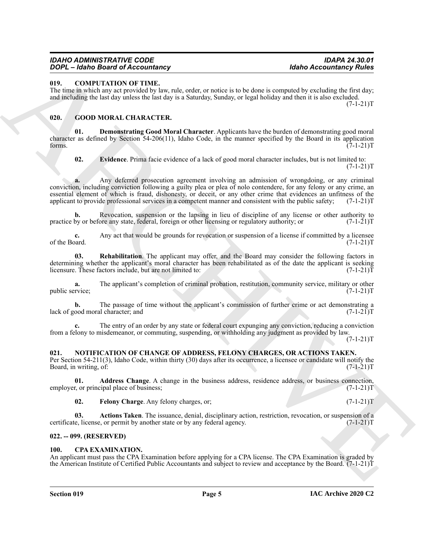#### <span id="page-4-6"></span><span id="page-4-0"></span>**019. COMPUTATION OF TIME.**

The time in which any act provided by law, rule, order, or notice is to be done is computed by excluding the first day; and including the last day unless the last day is a Saturday, Sunday, or legal holiday and then it is also excluded.  $(7-1-21)T$ 

#### <span id="page-4-7"></span><span id="page-4-1"></span>**020. GOOD MORAL CHARACTER.**

**01. Demonstrating Good Moral Character**. Applicants have the burden of demonstrating good moral character as defined by Section 54-206(11), Idaho Code, in the manner specified by the Board in its application forms.  $(7-1-21)T$ 

<span id="page-4-9"></span><span id="page-4-8"></span>**02. Evidence**. Prima facie evidence of a lack of good moral character includes, but is not limited to:  $(7-1-21)T$ 

**SOC – CONFULNATION OF TRAL. ISSUE CONFIGURATION CONFIGURATION** (1991) CONFIGURATION CONFIGURATION CONFIGURATION CONFIGURATION (1991) CONFIGURATION CONFIGURATION CONFIGURATION (1991) CONFIGURATION CONFIGURATION CONFIGUR **a.** Any deferred prosecution agreement involving an admission of wrongdoing, or any criminal conviction, including conviction following a guilty plea or plea of nolo contendere, for any felony or any crime, an essential element of which is fraud, dishonesty, or deceit, or any other crime that evidences an unfitness of the applicant to provide professional services in a competent manner and consistent with the public safety;  $(7$ applicant to provide professional services in a competent manner and consistent with the public safety;

**b.** Revocation, suspension or the lapsing in lieu of discipline of any license or other authority to by or before any state, federal, foreign or other licensing or regulatory authority; or  $(7-1-21)$ practice by or before any state, federal, foreign or other licensing or regulatory authority; or

**c.** Any act that would be grounds for revocation or suspension of a license if committed by a licensee of the Board. (7-1-21)T of the Board. (7-1-21)T

<span id="page-4-10"></span>**03. Rehabilitation**. The applicant may offer, and the Board may consider the following factors in determining whether the applicant's moral character has been rehabilitated as of the date the applicant is seeking<br>licensure. These factors include, but are not limited to: (7-1-21) licensure. These factors include, but are not limited to:

**a.** The applicant's completion of criminal probation, restitution, community service, military or other rvice; public service;

**b.** The passage of time without the applicant's commission of further crime or act demonstrating a lack of good moral character; and (7-1-21)T

**c.** The entry of an order by any state or federal court expunging any conviction, reducing a conviction from a felony to misdemeanor, or commuting, suspending, or withholding any judgment as provided by law.

 $(7-1-21)T$ 

## <span id="page-4-11"></span><span id="page-4-2"></span>**021. NOTIFICATION OF CHANGE OF ADDRESS, FELONY CHARGES, OR ACTIONS TAKEN.**

Per Section 54-211(3), Idaho Code, within thirty (30) days after its occurrence, a licensee or candidate will notify the Board, in writing, of:

**01. Address Change**. A change in the business address, residence address, or business connection, r, or principal place of business; (7-1-21)T employer, or principal place of business;

**02. Felony Charge**. Any felony charges, or; (7-1-21)T

**03.** Actions Taken. The issuance, denial, disciplinary action, restriction, revocation, or suspension of a *i.e.*, license, or permit by another state or by any federal agency. (7-1-21) certificate, license, or permit by another state or by any federal agency.

#### <span id="page-4-3"></span>**022. -- 099. (RESERVED)**

#### <span id="page-4-5"></span><span id="page-4-4"></span>**100. CPA EXAMINATION.**

An applicant must pass the CPA Examination before applying for a CPA license. The CPA Examination is graded by the American Institute of Certified Public Accountants and subject to review and acceptance by the Board. (7-1-21)T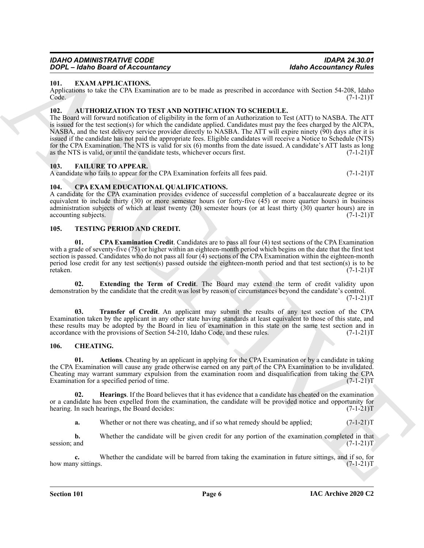#### <span id="page-5-12"></span><span id="page-5-0"></span>**101. EXAM APPLICATIONS.**

Applications to take the CPA Examination are to be made as prescribed in accordance with Section 54-208, Idaho<br>(7-1-21)T  $\text{Code.} \tag{7-1-21}$ 

#### <span id="page-5-6"></span><span id="page-5-1"></span>**102. AUTHORIZATION TO TEST AND NOTIFICATION TO SCHEDULE.**

**Topics Constraints of Constraints**, **Holen Constraints (a)**<br>
ARCHIVER CONSTRUCTIONS<br>
Applications to use to CIN Examination are or by much a procedure of the Section S-12.1317<br>
The Constraints of CIN Examination are or b The Board will forward notification of eligibility in the form of an Authorization to Test (ATT) to NASBA. The ATT is issued for the test section(s) for which the candidate applied. Candidates must pay the fees charged by the AICPA, NASBA, and the test delivery service provider directly to NASBA. The ATT will expire ninety (90) days after it is issued if the candidate has not paid the appropriate fees. Eligible candidates will receive a Notice to Schedule (NTS) for the CPA Examination. The NTS is valid for six (6) months from the date issued. A candidate's ATT lasts as long as the NTS is valid, or until the candidate tests, whichever occurs first. (7-1-21) as the NTS is valid, or until the candidate tests, whichever occurs first.

#### <span id="page-5-13"></span><span id="page-5-2"></span>**103. FAILURE TO APPEAR.**

A candidate who fails to appear for the CPA Examination forfeits all fees paid.  $(7-1-21)$ T

#### <span id="page-5-10"></span><span id="page-5-3"></span>**104. CPA EXAM EDUCATIONAL QUALIFICATIONS.**

A candidate for the CPA examination provides evidence of successful completion of a baccalaureate degree or its equivalent to include thirty  $(30)$  or more semester hours (or forty-five  $(45)$  or more quarter hours) in business administration subjects of which at least twenty (20) semester hours (or at least thirty (30) quarter hours) are in accounting subjects. (7-1-21)T

#### <span id="page-5-14"></span><span id="page-5-11"></span><span id="page-5-4"></span>**105. TESTING PERIOD AND CREDIT.**

**01. CPA Examination Credit**. Candidates are to pass all four (4) test sections of the CPA Examination with a grade of seventy-five (75) or higher within an eighteen-month period which begins on the date that the first test section is passed. Candidates who do not pass all four (4) sections of the CPA Examination within the eighteen-month period lose credit for any test section(s) passed outside the eighteen-month period and that test section(s) is to be retaken. retaken. (7-1-21)T

**02. Extending the Term of Credit**. The Board may extend the term of credit validity upon demonstration by the candidate that the credit was lost by reason of circumstances beyond the candidate's control.  $(7-1-21)T$ 

**03. Transfer of Credit**. An applicant may submit the results of any test section of the CPA Examination taken by the applicant in any other state having standards at least equivalent to those of this state, and these results may be adopted by the Board in lieu of examination in this state on the same test section and in accordance with the provisions of Section 54-210. Idaho Code, and these rules. (7-1-21) accordance with the provisions of Section 54-210, Idaho Code, and these rules.

#### <span id="page-5-7"></span><span id="page-5-5"></span>**106. CHEATING.**

<span id="page-5-8"></span>**01. Actions**. Cheating by an applicant in applying for the CPA Examination or by a candidate in taking the CPA Examination will cause any grade otherwise earned on any part of the CPA Examination to be invalidated. Cheating may warrant summary expulsion from the examination room and disqualification from taking the CPA Examination for a specified period of time. (7-1-21)T

**02. Hearings**. If the Board believes that it has evidence that a candidate has cheated on the examination or a candidate has been expelled from the examination, the candidate will be provided notice and opportunity for hearing. In such hearings, the Board decides: (7-1-21)T

<span id="page-5-9"></span>**a.** Whether or not there was cheating, and if so what remedy should be applied;  $(7-1-21)$ T

**b.** Whether the candidate will be given credit for any portion of the examination completed in that session; and  $(7-1-21)T$ session; and  $(7-1-21)T$ 

**c.** Whether the candidate will be barred from taking the examination in future sittings, and if so, for ty sittings. (7-1-21) how many sittings.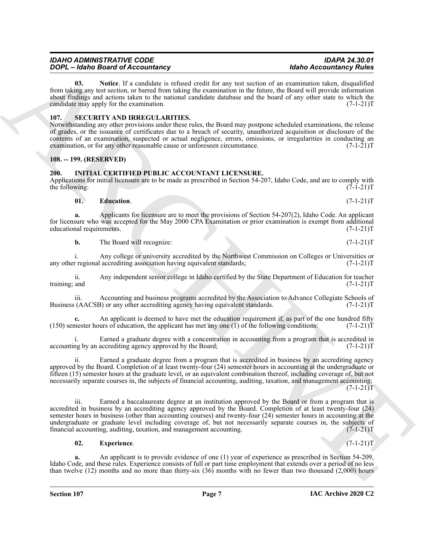## *IDAHO ADMINISTRATIVE CODE IDAPA 24.30.01*

<span id="page-6-3"></span>**03. Notice**. If a candidate is refused credit for any test section of an examination taken, disqualified from taking any test section, or barred from taking the examination in the future, the Board will provide information about findings and actions taken to the national candidate database and the board of any other state to which the candidate may apply for the examination. (7-1-21) T

#### <span id="page-6-7"></span><span id="page-6-0"></span>**107. SECURITY AND IRREGULARITIES.**

*DOPL – Idaho Board of Accountancy* 

Notwithstanding any other provisions under these rules, the Board may postpone scheduled examinations, the release of grades, or the issuance of certificates due to a breach of security, unauthorized acquisition or disclosure of the contents of an examination, suspected or actual negligence, errors, omissions, or irregularities in conducting an examination, or for any other reasonable cause or unforeseen circumstance.  $(7-1-21)$ T

## <span id="page-6-1"></span>**108. -- 199. (RESERVED)**

## <span id="page-6-4"></span><span id="page-6-2"></span>**200. INITIAL CERTIFIED PUBLIC ACCOUNTANT LICENSURE.**

Applications for initial licensure are to be made as prescribed in Section 54-207, Idaho Code, and are to comply with the following:  $(7-1-21)T$ 

## <span id="page-6-5"></span>**01. Education**. (7-1-21)T

**a.** Applicants for licensure are to meet the provisions of Section 54-207(2), Idaho Code. An applicant for licensure who was accepted for the May 2000 CPA Examination or prior examination is exempt from additional educational requirements. (7-1-21) educational requirements.

**b.** The Board will recognize: (7-1-21)T

i. Any college or university accredited by the Northwest Commission on Colleges or Universities or regional accrediting association having equivalent standards; (7-1-21) any other regional accrediting association having equivalent standards;

ii. Any independent senior college in Idaho certified by the State Department of Education for teacher training; and

iii. Accounting and business programs accredited by the Association to Advance Collegiate Schools of (AACSB) or any other accrediting agency having equivalent standards. (7-1-21) Business (AACSB) or any other accrediting agency having equivalent standards.

**c.** An applicant is deemed to have met the education requirement if, as part of the one hundred fifty mester hours of education, the applicant has met any one (1) of the following conditions:  $(7-1-21)T$  $(150)$  semester hours of education, the applicant has met any one  $(1)$  of the following conditions:

i. Earned a graduate degree with a concentration in accounting from a program that is accredited in the by an accrediting agency approved by the Board; accounting by an accrediting agency approved by the Board;

ii. Earned a graduate degree from a program that is accredited in business by an accrediting agency approved by the Board. Completion of at least twenty-four (24) semester hours in accounting at the undergraduate or fifteen (15) semester hours at the graduate level, or an equivalent combination thereof, including coverage of, but not necessarily separate courses in, the subjects of financial accounting, auditing, taxation, and management accounting;  $(7-1-21)T$ 

**2004 Consider the Constrainty Points of the Constraints of the Constraints of the Constraints of the Constraints of the Constraints of the Constraints of the Constraints of the Constraints of the Constraints of the Con** iii. Earned a baccalaureate degree at an institution approved by the Board or from a program that is accredited in business by an accrediting agency approved by the Board. Completion of at least twenty-four (24) semester hours in business (other than accounting courses) and twenty-four (24) semester hours in accounting at the undergraduate or graduate level including coverage of, but not necessarily separate courses in, the subjects of financial accounting, auditing, taxation, and management accounting. financial accounting, auditing, taxation, and management accounting.

#### <span id="page-6-6"></span>**02. Experience**. (7-1-21)T

**a.** An applicant is to provide evidence of one (1) year of experience as prescribed in Section 54-209, Idaho Code, and these rules. Experience consists of full or part time employment that extends over a period of no less than twelve (12) months and no more than thirty-six (36) months with no fewer than two thousand (2,000) hours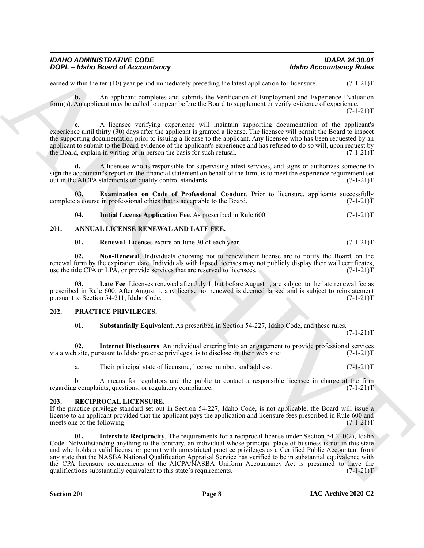| IDAHO ADMINISTRATIVE CODE         | IDAPA 24.30.01                 |
|-----------------------------------|--------------------------------|
| DOPL - Idaho Board of Accountancy | <b>Idaho Accountancy Rules</b> |

earned within the ten (10) year period immediately preceding the latest application for licensure. (7-1-21)T

**b.** An applicant completes and submits the Verification of Employment and Experience Evaluation form(s). An applicant may be called to appear before the Board to supplement or verify evidence of experience.  $(7-1-21)T$ 

**c.** A licensee verifying experience will maintain supporting documentation of the applicant's experience until thirty (30) days after the applicant is granted a license. The licensee will permit the Board to inspect the supporting documentation prior to issuing a license to the applicant. Any licensee who has been requested by an applicant to submit to the Board evidence of the applicant's experience and has refused to do so will, upon request by the Board, explain in writing or in person the basis for such refusal.  $(7-1-21)$ T

**d.** A licensee who is responsible for supervising attest services, and signs or authorizes someone to sign the accountant's report on the financial statement on behalf of the firm, is to meet the experience requirement set out in the AICPA statements on quality control standards. (7-1-21)T

**03. Examination on Code of Professional Conduct**. Prior to licensure, applicants successfully a course in professional ethics that is acceptable to the Board. (7-1-21) complete a course in professional ethics that is acceptable to the Board.

<span id="page-7-13"></span><span id="page-7-12"></span><span id="page-7-3"></span>**04.** Initial License Application Fee. As prescribed in Rule 600. (7-1-21)T

#### <span id="page-7-0"></span>**201. ANNUAL LICENSE RENEWAL AND LATE FEE.**

<span id="page-7-6"></span><span id="page-7-5"></span><span id="page-7-4"></span>**01. Renewal**. Licenses expire on June 30 of each year. (7-1-21)T

**02. Non-Renewal**. Individuals choosing not to renew their license are to notify the Board, on the renewal form by the expiration date. Individuals with lapsed licenses may not publicly display their wall certificates, use the title CPA or LPA, or provide services that are reserved to licensees. (7-1-21)T

**03. Late Fee**. Licenses renewed after July 1, but before August 1, are subject to the late renewal fee as prescribed in Rule 600. After August 1, any license not renewed is deemed lapsed and is subject to reinstatement pursuant to Section 54-211, Idaho Code. (7-1-21) pursuant to Section 54-211, Idaho Code.

#### <span id="page-7-1"></span>**202. PRACTICE PRIVILEGES.**

<span id="page-7-9"></span><span id="page-7-8"></span><span id="page-7-7"></span>**01. Substantially Equivalent**. As prescribed in Section 54-227, Idaho Code, and these rules.

 $(7-1-21)T$ 

**02.** Internet Disclosures. An individual entering into an engagement to provide professional services bite, pursuant to Idaho practice privileges, is to disclose on their web site: (7-1-21) via a web site, pursuant to Idaho practice privileges, is to disclose on their web site:

a. Their principal state of licensure, license number, and address. (7-1-21)T

b. A means for regulators and the public to contact a responsible licensee in charge at the firm g complaints, questions, or regulatory compliance.  $(7-1-21)$ regarding complaints, questions, or regulatory compliance.

#### <span id="page-7-10"></span><span id="page-7-2"></span>**203. RECIPROCAL LICENSURE.**

<span id="page-7-11"></span>If the practice privilege standard set out in Section 54-227, Idaho Code, is not applicable, the Board will issue a license to an applicant provided that the applicant pays the application and licensure fees prescribed in Rule 600 and meets one of the following: (7-1-21)T meets one of the following:

**EQUAL EXERCT CONTRACT CONTRACT CONTRACT CONTRACT CONTRACT CONTRACT CONTRACT CONTRACT CONTRACT CONTRACT CONTRACT CONTRACT CONTRACT CONTRACT CONTRACT CONTRACT CONTRACT CONTRACT CONTRACT CONTRACT CONTRACT CONTRACT CONTRACT Interstate Reciprocity**. The requirements for a reciprocal license under Section 54-210(2), Idaho Code. Notwithstanding anything to the contrary, an individual whose principal place of business is not in this state and who holds a valid license or permit with unrestricted practice privileges as a Certified Public Accountant from any state that the NASBA National Qualification Appraisal Service has verified to be in substantial equivalence with the CPA licensure requirements of the AICPA/NASBA Uniform Accountancy Act is presumed to have the qualifications substantially equivalent to this state's requirements. (7-1-21)T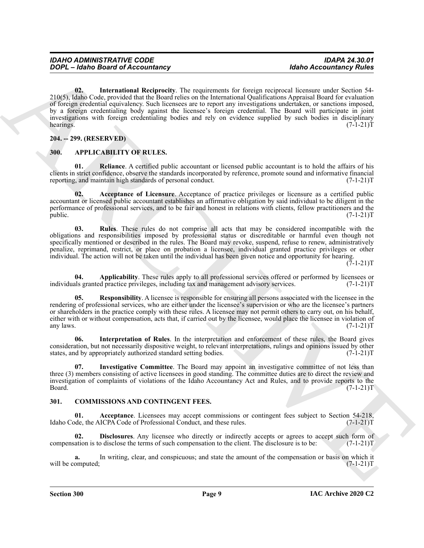**Example 6 the contribution** (**Also Contribute**) **Example 16 Excitering Fourier and School Accounting Policy<br>
20.6 (<b>Also Contribute the contribution** (*Also Contribute the Contribution*) **Archives the contribution** (**Als 02. International Reciprocity**. The requirements for foreign reciprocal licensure under Section 54- 210(5), Idaho Code, provided that the Board relies on the International Qualifications Appraisal Board for evaluation of foreign credential equivalency. Such licensees are to report any investigations undertaken, or sanctions imposed, by a foreign credentialing body against the licensee's foreign credential. The Board will participate in joint investigations with foreign credentialing bodies and rely on evidence supplied by such bodies in disciplinary<br>(7-1-21)T hearings. (7-1-21)T

#### <span id="page-8-13"></span><span id="page-8-0"></span>**204. -- 299. (RESERVED)**

#### <span id="page-8-3"></span><span id="page-8-1"></span>**300. APPLICABILITY OF RULES.**

<span id="page-8-8"></span>**01. Reliance**. A certified public accountant or licensed public accountant is to hold the affairs of his clients in strict confidence, observe the standards incorporated by reference, promote sound and informative financial reporting, and maintain high standards of personal conduct. (7-1-21)T

<span id="page-8-4"></span>**02. Acceptance of Licensure**. Acceptance of practice privileges or licensure as a certified public accountant or licensed public accountant establishes an affirmative obligation by said individual to be diligent in the performance of professional services, and to be fair and honest in relations with clients, fellow practitioners and the public. (7-1-21)T

<span id="page-8-10"></span>**03. Rules**. These rules do not comprise all acts that may be considered incompatible with the obligations and responsibilities imposed by professional status or discreditable or harmful even though not specifically mentioned or described in the rules. The Board may revoke, suspend, refuse to renew, administratively penalize, reprimand, restrict, or place on probation a licensee, individual granted practice privileges or other individual. The action will not be taken until the individual has been given notice and opportunity for hearing.

 $(7-1-21)T$ 

<span id="page-8-5"></span>**04.** Applicability. These rules apply to all professional services offered or performed by licensees or all professional services. (7-1-21) T individuals granted practice privileges, including tax and management advisory services.

<span id="page-8-9"></span>**05. Responsibility**. A licensee is responsible for ensuring all persons associated with the licensee in the rendering of professional services, who are either under the licensee's supervision or who are the licensee's partners or shareholders in the practice comply with these rules. A licensee may not permit others to carry out, on his behalf, either with or without compensation, acts that, if carried out by the licensee, would place the licensee in violation of any laws. (7-1-21) any laws.  $(7-1-21)T$ 

<span id="page-8-6"></span>**06. Interpretation of Rules**. In the interpretation and enforcement of these rules, the Board gives consideration, but not necessarily dispositive weight, to relevant interpretations, rulings and opinions issued by other states, and by appropriately authorized standard setting bodies. (7-1-21) states, and by appropriately authorized standard setting bodies.

<span id="page-8-7"></span>**07. Investigative Committee**. The Board may appoint an investigative committee of not less than three (3) members consisting of active licensees in good standing. The committee duties are to direct the review and investigation of complaints of violations of the Idaho Accountancy Act and Rules, and to provide reports to the  $Board.$  (7-1-21) $T$ 

#### <span id="page-8-11"></span><span id="page-8-2"></span>**301. COMMISSIONS AND CONTINGENT FEES.**

**01.** Acceptance. Licensees may accept commissions or contingent fees subject to Section 54-218, de, the AICPA Code of Professional Conduct, and these rules. (7-1-21) Idaho Code, the AICPA Code of Professional Conduct, and these rules.

<span id="page-8-12"></span>**Disclosures**. Any licensee who directly or indirectly accepts or agrees to accept such form of o disclose the terms of such compensation to the client. The disclosure is to be:  $(7-1-21)$ compensation is to disclose the terms of such compensation to the client. The disclosure is to be:

**a.** In writing, clear, and conspicuous; and state the amount of the compensation or basis on which it omputed;  $(7-1-21)T$ will be computed;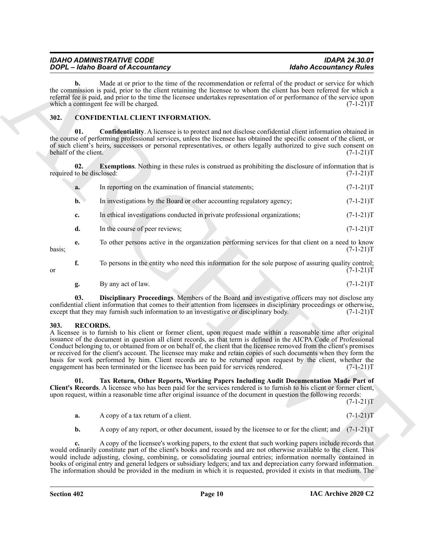| <b>IDAHO ADMINISTRATIVE CODE</b>  | <b>IDAPA 24.30.01</b>          |
|-----------------------------------|--------------------------------|
| DOPL - Idaho Board of Accountancy | <b>Idaho Accountancy Rules</b> |

#### <span id="page-9-5"></span><span id="page-9-3"></span><span id="page-9-2"></span><span id="page-9-0"></span>**302. CONFIDENTIAL CLIENT INFORMATION.**

|        |                              | <b>DOPL</b> - Idaho Board of Accountancy                                                                                                                                                                                                                                                                                                                                                                                                                                                                                                                                                                                                                                                       |                                                                                                                        | <b>Idaho Accountancy Rules</b> |
|--------|------------------------------|------------------------------------------------------------------------------------------------------------------------------------------------------------------------------------------------------------------------------------------------------------------------------------------------------------------------------------------------------------------------------------------------------------------------------------------------------------------------------------------------------------------------------------------------------------------------------------------------------------------------------------------------------------------------------------------------|------------------------------------------------------------------------------------------------------------------------|--------------------------------|
|        | b.                           | Made at or prior to the time of the recommendation or referral of the product or service for which<br>the commission is paid, prior to the client retaining the licensee to whom the client has been referred for which a<br>referral fee is paid, and prior to the time the licensee undertakes representation of or performance of the service upon<br>which a contingent fee will be charged.                                                                                                                                                                                                                                                                                               |                                                                                                                        | $(7-1-21)T$                    |
| 302.   |                              | <b>CONFIDENTIAL CLIENT INFORMATION.</b>                                                                                                                                                                                                                                                                                                                                                                                                                                                                                                                                                                                                                                                        |                                                                                                                        |                                |
|        | 01.<br>behalf of the client. | <b>Confidentiality.</b> A licensee is to protect and not disclose confidential client information obtained in<br>the course of performing professional services, unless the licensee has obtained the specific consent of the client, or<br>of such client's heirs, successors or personal representatives, or others legally authorized to give such consent on                                                                                                                                                                                                                                                                                                                               |                                                                                                                        | $(7-1-21)T$                    |
|        | 02.                          | <b>Exemptions.</b> Nothing in these rules is construed as prohibiting the disclosure of information that is<br>required to be disclosed:                                                                                                                                                                                                                                                                                                                                                                                                                                                                                                                                                       |                                                                                                                        | $(7-1-21)T$                    |
|        | a.                           | In reporting on the examination of financial statements;                                                                                                                                                                                                                                                                                                                                                                                                                                                                                                                                                                                                                                       |                                                                                                                        | $(7-1-21)T$                    |
|        | $\mathbf{b}$ .               | In investigations by the Board or other accounting regulatory agency;                                                                                                                                                                                                                                                                                                                                                                                                                                                                                                                                                                                                                          |                                                                                                                        | $(7-1-21)T$                    |
|        | c.                           | In ethical investigations conducted in private professional organizations;                                                                                                                                                                                                                                                                                                                                                                                                                                                                                                                                                                                                                     |                                                                                                                        | $(7-1-21)T$                    |
|        | d.                           | In the course of peer reviews;                                                                                                                                                                                                                                                                                                                                                                                                                                                                                                                                                                                                                                                                 |                                                                                                                        | $(7-1-21)T$                    |
| basis; | e.                           | To other persons active in the organization performing services for that client on a need to know                                                                                                                                                                                                                                                                                                                                                                                                                                                                                                                                                                                              |                                                                                                                        | $(7-1-21)T$                    |
| or     | f.                           | To persons in the entity who need this information for the sole purpose of assuring quality control;                                                                                                                                                                                                                                                                                                                                                                                                                                                                                                                                                                                           |                                                                                                                        | $(7-1-21)T$                    |
|        | g.                           | By any act of law.                                                                                                                                                                                                                                                                                                                                                                                                                                                                                                                                                                                                                                                                             |                                                                                                                        | $(7-1-21)T$                    |
|        | 03.                          | Disciplinary Proceedings. Members of the Board and investigative officers may not disclose any<br>confidential client information that comes to their attention from licensees in disciplinary proceedings or otherwise,<br>except that they may furnish such information to an investigative or disciplinary body.                                                                                                                                                                                                                                                                                                                                                                            |                                                                                                                        | $(7-1-21)T$                    |
| 303.   | <b>RECORDS.</b>              | A licensee is to furnish to his client or former client, upon request made within a reasonable time after original<br>issuance of the document in question all client records, as that term is defined in the AICPA Code of Professional<br>Conduct belonging to, or obtained from or on behalf of, the client that the licensee removed from the client's premises<br>or received for the client's account. The licensee may make and retain copies of such documents when they form the<br>basis for work performed by him. Client records are to be returned upon request by the client, whether the<br>engagement has been terminated or the licensee has been paid for services rendered. |                                                                                                                        | $(7-1-21)T$                    |
|        | 01.                          | Tax Return, Other Reports, Working Papers Including Audit Documentation Made Part of<br>Client's Records. A licensee who has been paid for the services rendered is to furnish to his client or former client,<br>upon request, within a reasonable time after original issuance of the document in question the following records:                                                                                                                                                                                                                                                                                                                                                            |                                                                                                                        | $(7-1-21)T$                    |
|        | a.                           | A copy of a tax return of a client.                                                                                                                                                                                                                                                                                                                                                                                                                                                                                                                                                                                                                                                            |                                                                                                                        | $(7-1-21)T$                    |
|        | b.                           | A copy of any report, or other document, issued by the licensee to or for the client; and (7-1-21)T                                                                                                                                                                                                                                                                                                                                                                                                                                                                                                                                                                                            |                                                                                                                        |                                |
|        | c.                           | A copy of the licensee's working papers, to the extent that such working papers include records that<br>would ordinarily constitute part of the client's books and records and are not otherwise available to the client. This<br>would include adjusting, closing, combining, or consolidating journal entries; information normally contained in                                                                                                                                                                                                                                                                                                                                             | books of original entry and general ledgers or subsidiary ledgers; and tax and depreciation carry forward information. |                                |

<span id="page-9-4"></span>
$$
g. \qquad \text{By any act of law.} \tag{7-1-21} \tag{7-1-23}
$$

#### <span id="page-9-6"></span><span id="page-9-1"></span>**303. RECORDS.**

#### <span id="page-9-7"></span>**01. Tax Return, Other Reports, Working Papers Including Audit Documentation Made Part of Client's Records**. A licensee who has been paid for the services rendered is to furnish to his client or former client, upon request, within a reasonable time after original issuance of the document in question the following records: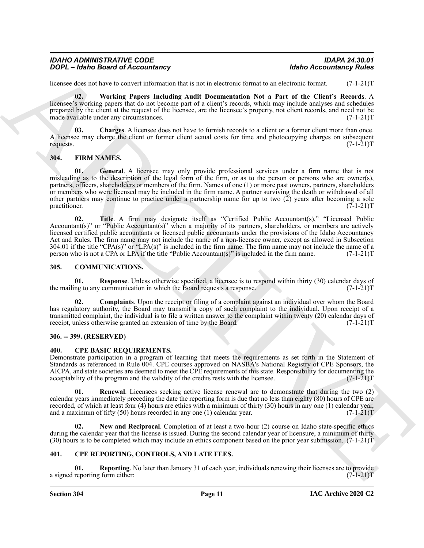| <b>IDAHO ADMINISTRATIVE CODE</b>         | <b>IDAPA 24.30.01</b>          |
|------------------------------------------|--------------------------------|
| <b>DOPL</b> - Idaho Board of Accountancy | <b>Idaho Accountancy Rules</b> |

licensee does not have to convert information that is not in electronic format to an electronic format. (7-1-21)T

<span id="page-10-16"></span>**02. Working Papers Including Audit Documentation Not a Part of the Client's Records**. A licensee's working papers that do not become part of a client's records, which may include analyses and schedules prepared by the client at the request of the licensee, are the licensee's property, not client records, and need not be made available under any circumstances. (7-1-21) made available under any circumstances.

<span id="page-10-15"></span>**03. Charges**. A licensee does not have to furnish records to a client or a former client more than once. A licensee may charge the client or former client actual costs for time and photocopying charges on subsequent requests. (7-1-21)T requests.  $(7-1-21)T$ 

#### <span id="page-10-13"></span><span id="page-10-12"></span><span id="page-10-0"></span>**304. FIRM NAMES.**

**EXACT-168** as lowed the constraints that the last state is expected to the state of the constraints of the constraints of the constraints of the constraints of the constraints of the constraints of the constraints of the **01. General**. A licensee may only provide professional services under a firm name that is not misleading as to the description of the legal form of the firm, or as to the person or persons who are owner(s), partners, officers, shareholders or members of the firm. Names of one (1) or more past owners, partners, shareholders or members who were licensed may be included in the firm name. A partner surviving the death or withdrawal of all other partners may continue to practice under a partnership name for up to two (2) years after becoming a sole practitioner. (7-1-21)T practitioner. (7-1-21)T

<span id="page-10-14"></span>Title. A firm may designate itself as "Certified Public Accountant(s)," "Licensed Public Accountant(s)" or "Public Accountant(s)" when a majority of its partners, shareholders, or members are actively licensed certified public accountants or licensed public accountants under the provisions of the Idaho Accountancy Act and Rules. The firm name may not include the name of a non-licensee owner, except as allowed in Subsection 304.01 if the title "CPA(s)" or "LPA(s)" is included in the firm name. The firm name may not include the name of a person who is not a CPA or LPA if the title "Public Accountant(s)" is included in the firm name. (7-1-21)T

#### <span id="page-10-5"></span><span id="page-10-1"></span>**305. COMMUNICATIONS.**

<span id="page-10-7"></span>**01. Response**. Unless otherwise specified, a licensee is to respond within thirty (30) calendar days of ng to any communication in which the Board requests a response. (7-1-21) the mailing to any communication in which the Board requests a response.

<span id="page-10-6"></span>**02. Complaints**. Upon the receipt or filing of a complaint against an individual over whom the Board has regulatory authority, the Board may transmit a copy of such complaint to the individual. Upon receipt of a transmitted complaint, the individual is to file a written answer to the complaint within twenty (20) calendar days of receipt, unless otherwise granted an extension of time by the Board. (7-1-21)T

#### <span id="page-10-2"></span>**306. -- 399. (RESERVED)**

#### <span id="page-10-8"></span><span id="page-10-3"></span>**400. CPE BASIC REQUIREMENTS.**

Demonstrate participation in a program of learning that meets the requirements as set forth in the Statement of Standards as referenced in Rule 004. CPE courses approved on NASBA's National Registry of CPE Sponsors, the AICPA, and state societies are deemed to meet the CPE requirements of this state. Responsibility for documenting the acceptability of the program and the validity of the credits rests with the licensee. (7-1-21) acceptability of the program and the validity of the credits rests with the licensee.

<span id="page-10-10"></span>**01. Renewal**. Licensees seeking active license renewal are to demonstrate that during the two (2) calendar years immediately preceding the date the reporting form is due that no less than eighty (80) hours of CPE are recorded, of which at least four (4) hours are ethics with a minimum of thirty (30) hours in any one (1) calendar year, and a maximum of fifty (50) hours recorded in any one (1) calendar year.  $(7-1-21)T$ and a maximum of fifty  $(50)$  hours recorded in any one  $(1)$  calendar year.

<span id="page-10-9"></span>**02. New and Reciprocal**. Completion of at least a two-hour (2) course on Idaho state-specific ethics during the calendar year that the license is issued. During the second calendar year of licensure, a minimum of thirty (30) hours is to be completed which may include an ethics component based on the prior year submission. (7-1-21)T

#### <span id="page-10-11"></span><span id="page-10-4"></span>**401. CPE REPORTING, CONTROLS, AND LATE FEES.**

**01. Reporting**. No later than January 31 of each year, individuals renewing their licenses are to provide reporting form either:  $(7-1-21)$ a signed reporting form either: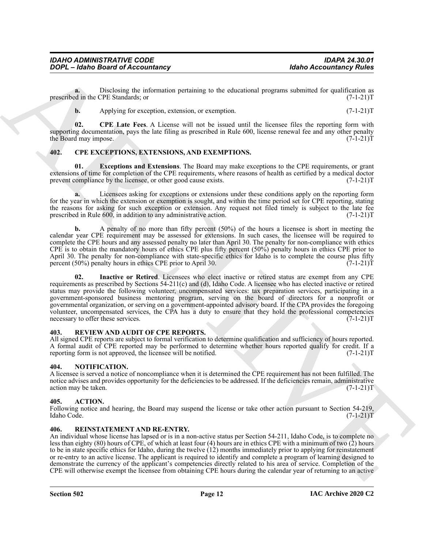**a.** Disclosing the information pertaining to the educational programs submitted for qualification as d in the CPE Standards; or prescribed in the CPE Standards; or

<span id="page-11-9"></span>**b.** Applying for exception, extension, or exemption. (7-1-21)T

**02. CPE Late Fees**. A License will not be issued until the licensee files the reporting form with supporting documentation, pays the late filing as prescribed in Rule 600, license renewal fee and any other penalty<br>the Board may impose. (7-1-21)T the Board may impose.

#### <span id="page-11-6"></span><span id="page-11-0"></span>**402. CPE EXCEPTIONS, EXTENSIONS, AND EXEMPTIONS.**

<span id="page-11-7"></span>**01. Exceptions and Extensions**. The Board may make exceptions to the CPE requirements, or grant extensions of time for completion of the CPE requirements, where reasons of health as certified by a medical doctor prevent compliance by the licensee, or other good cause exists.  $(7-1-21)$ T

**a.** Licensees asking for exceptions or extensions under these conditions apply on the reporting form for the year in which the extension or exemption is sought, and within the time period set for CPE reporting, stating the reasons for asking for such exception or extension. Any request not filed timely is subject to the late fee<br>prescribed in Rule 600, in addition to any administrative action. (7-1-21) prescribed in Rule 600, in addition to any administrative action.

<span id="page-11-8"></span>**b.** A penalty of no more than fifty percent (50%) of the hours a licensee is short in meeting the calendar year CPE requirement may be assessed for extensions. In such cases, the licensee will be required to complete the CPE hours and any assessed penalty no later than April 30. The penalty for non-compliance with ethics CPE is to obtain the mandatory hours of ethics CPE plus fifty percent (50%) penalty hours in ethics CPE prior to April 30. The penalty for non-compliance with state-specific ethics for Idaho is to complete the course plus fifty percent (50%) penalty hours in ethics CPE prior to April 30.  $(7-1-21)$ percent  $(50\%)$  penalty hours in ethics CPE prior to April 30.

GOPC - Johns Board of Accountancy<br>
Distribute the contribute of the state of the state of the state of the state of the state of the state of the state of the state of the state of the state of the state of the state of t **02. Inactive or Retired**. Licensees who elect inactive or retired status are exempt from any CPE requirements as prescribed by Sections 54-211(c) and (d), Idaho Code. A licensee who has elected inactive or retired status may provide the following volunteer, uncompensated services: tax preparation services, participating in a government-sponsored business mentoring program, serving on the board of directors for a nonprofit or governmental organization, or serving on a government-appointed advisory board. If the CPA provides the foregoing volunteer, uncompensated services, the CPA has a duty to ensure that they hold the professional competencies necessary to offer these services. (7-1-21)T necessary to offer these services.

#### <span id="page-11-12"></span><span id="page-11-1"></span>**403. REVIEW AND AUDIT OF CPE REPORTS.**

All signed CPE reports are subject to formal verification to determine qualification and sufficiency of hours reported. A formal audit of CPE reported may be performed to determine whether hours reported qualify for credit. If a reporting form is not approved, the licensee will be notified. (7-1-21) reporting form is not approved, the licensee will be notified.

#### <span id="page-11-10"></span><span id="page-11-2"></span>**404. NOTIFICATION.**

A licensee is served a notice of noncompliance when it is determined the CPE requirement has not been fulfilled. The notice advises and provides opportunity for the deficiencies to be addressed. If the deficiencies remain, administrative action may be taken.  $(7-1-21)$ T action may be taken.

#### <span id="page-11-5"></span><span id="page-11-3"></span>**405. ACTION.**

Following notice and hearing, the Board may suspend the license or take other action pursuant to Section 54-219, Idaho Code. (7-1-21)T Idaho Code. (7-1-21)T

#### <span id="page-11-11"></span><span id="page-11-4"></span>**406. REINSTATEMENT AND RE-ENTRY.**

An individual whose license has lapsed or is in a non-active status per Section 54-211, Idaho Code, is to complete no less than eighty (80) hours of CPE, of which at least four (4) hours are in ethics CPE with a minimum of two (2) hours to be in state specific ethics for Idaho, during the twelve (12) months immediately prior to applying for reinstatement or re-entry to an active license. The applicant is required to identify and complete a program of learning designed to demonstrate the currency of the applicant's competencies directly related to his area of service. Completion of the CPE will otherwise exempt the licensee from obtaining CPE hours during the calendar year of returning to an active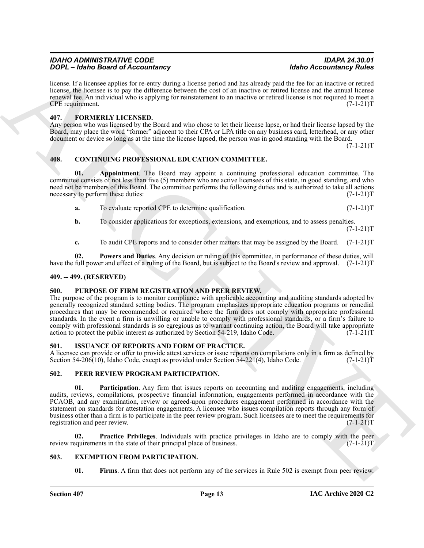| <b>IDAHO ADMINISTRATIVE CODE</b>         | <b>IDAPA 24.30.01</b>          |
|------------------------------------------|--------------------------------|
| <b>DOPL</b> - Idaho Board of Accountancy | <b>Idaho Accountancy Rules</b> |

license. If a licensee applies for re-entry during a license period and has already paid the fee for an inactive or retired license, the licensee is to pay the difference between the cost of an inactive or retired license and the annual license renewal fee. An individual who is applying for reinstatement to an inactive or retired license is not required to meet a CPE requirement. (7-1-21)T

#### <span id="page-12-12"></span><span id="page-12-0"></span>**407. FORMERLY LICENSED.**

Any person who was licensed by the Board and who chose to let their license lapse, or had their license lapsed by the Board, may place the word "former" adjacent to their CPA or LPA title on any business card, letterhead, or any other document or device so long as at the time the license lapsed, the person was in good standing with the Board.  $(7-1-21)T$ 

#### <span id="page-12-9"></span><span id="page-12-1"></span>**408. CONTINUING PROFESSIONAL EDUCATION COMMITTEE.**

**01. Appointment**. The Board may appoint a continuing professional education committee. The committee consists of not less than five (5) members who are active licensees of this state, in good standing, and who need not be members of this Board. The committee performs the following duties and is authorized to take all actions necessary to perform these duties: (7-1-21) necessary to perform these duties:

- <span id="page-12-7"></span>**a.** To evaluate reported CPE to determine qualification.  $(7-1-21)$ T
- **b.** To consider applications for exceptions, extensions, and exemptions, and to assess penalties.  $(7-1-21)T$
- <span id="page-12-8"></span>**c.** To audit CPE reports and to consider other matters that may be assigned by the Board. (7-1-21)T

**02. Powers and Duties**. Any decision or ruling of this committee, in performance of these duties, will have the full power and effect of a ruling of the Board, but is subject to the Board's review and approval. (7-1-21)T

#### <span id="page-12-2"></span>**409. -- 499. (RESERVED)**

#### <span id="page-12-17"></span><span id="page-12-3"></span>**500. PURPOSE OF FIRM REGISTRATION AND PEER REVIEW.**

The purpose of the program is to monitor compliance with applicable accounting and auditing standards adopted by generally recognized standard setting bodies. The program emphasizes appropriate education programs or remedial procedures that may be recommended or required where the firm does not comply with appropriate professional standards. In the event a firm is unwilling or unable to comply with professional standards, or a firm's failure to comply with professional standards is so egregious as to warrant continuing action, the Board will take appropriate action to protect the public interest as authorized by Section 54-219. Idaho Code. (7-1-21) action to protect the public interest as authorized by Section 54-219, Idaho Code.

#### <span id="page-12-13"></span><span id="page-12-4"></span>**501. ISSUANCE OF REPORTS AND FORM OF PRACTICE.**

A licensee can provide or offer to provide attest services or issue reports on compilations only in a firm as defined by Section 54-206(10), Idaho Code, except as provided under Section 54-221(4), Idaho Code. (7-1-21)T

#### <span id="page-12-15"></span><span id="page-12-14"></span><span id="page-12-5"></span>**502. PEER REVIEW PROGRAM PARTICIPATION.**

**2004 Consideration Constrainers Constrainers Constrainers Considered Executive Constrainers Considered ACC**<br> **ARCHIVE CONSIDERATION CONSIDERATION CONSIDERATION CONSIDERATION CONSIDERATION CONSIDERAT 01. Participation**. Any firm that issues reports on accounting and auditing engagements, including audits, reviews, compilations, prospective financial information, engagements performed in accordance with the PCAOB, and any examination, review or agreed-upon procedures engagement performed in accordance with the statement on standards for attestation engagements. A licensee who issues compilation reports through any form of business other than a firm is to participate in the peer review program. Such licensees are to meet the requirements for registration and peer review. (7-1-21) registration and peer review.

**02. Practice Privileges**. Individuals with practice privileges in Idaho are to comply with the peer review requirements in the state of their principal place of business.

#### <span id="page-12-6"></span>**503. EXEMPTION FROM PARTICIPATION.**

<span id="page-12-16"></span><span id="page-12-11"></span><span id="page-12-10"></span>**01.** Firms. A firm that does not perform any of the services in Rule 502 is exempt from peer review.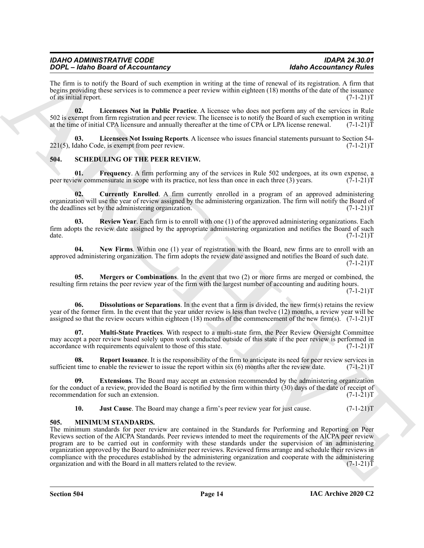The firm is to notify the Board of such exemption in writing at the time of renewal of its registration. A firm that begins providing these services is to commence a peer review within eighteen (18) months of the date of the issuance<br>of its initial report. (7-1-21)T of its initial report.

<span id="page-13-2"></span>**02. Licensees Not in Public Practice**. A licensee who does not perform any of the services in Rule 502 is exempt from firm registration and peer review. The licensee is to notify the Board of such exemption in writing at the time of initial CPA licensure and annually thereafter at the time of CPA or LPA license renewal. at the time of initial CPA licensure and annually thereafter at the time of CPA or LPA license renewal.

<span id="page-13-3"></span>**03. Licensees Not Issuing Reports**. A licensee who issues financial statements pursuant to Section 54- 221(5), Idaho Code, is exempt from peer review. (7-1-21)T

#### <span id="page-13-5"></span><span id="page-13-0"></span>**504. SCHEDULING OF THE PEER REVIEW.**

<span id="page-13-9"></span>**01. Frequency**. A firm performing any of the services in Rule 502 undergoes, at its own expense, a peer review commensurate in scope with its practice, not less than once in each three (3) years. (7-1-21)T

<span id="page-13-6"></span>**02. Currently Enrolled**. A firm currently enrolled in a program of an approved administering organization will use the year of review assigned by the administering organization. The firm will notify the Board of the deadlines set by the administering organization. (7-1-21)T

<span id="page-13-15"></span>**03. Review Year**. Each firm is to enroll with one (1) of the approved administering organizations. Each firm adopts the review date assigned by the appropriate administering organization and notifies the Board of such date. (7-1-21)T date. (7-1-21)T

<span id="page-13-13"></span>**04. New Firms**. Within one (1) year of registration with the Board, new firms are to enroll with an approved administering organization. The firm adopts the review date assigned and notifies the Board of such date.  $(7-1-21)T$ 

<span id="page-13-11"></span>**05. Mergers or Combinations**. In the event that two (2) or more firms are merged or combined, the resulting firm retains the peer review year of the firm with the largest number of accounting and auditing hours.  $(7-1-21)T$ 

<span id="page-13-7"></span>**Dissolutions or Separations**. In the event that a firm is divided, the new firm(s) retains the review year of the former firm. In the event that the year under review is less than twelve (12) months, a review year will be assigned so that the review occurs within eighteen (18) months of the commencement of the new firm(s). (7-1-21)T

<span id="page-13-12"></span>**07. Multi-State Practices**. With respect to a multi-state firm, the Peer Review Oversight Committee may accept a peer review based solely upon work conducted outside of this state if the peer review is performed in accordance with requirements equivalent to those of this state. (7-1-21)T

<span id="page-13-14"></span>**08. Report Issuance**. It is the responsibility of the firm to anticipate its need for peer review services in sufficient time to enable the reviewer to issue the report within six  $(6)$  months after the review date.  $(7-1-21)T$ 

**09. Extensions**. The Board may accept an extension recommended by the administering organization for the conduct of a review, provided the Board is notified by the firm within thirty (30) days of the date of receipt of recommendation for such an extension.  $(7-1-21)$ recommendation for such an extension.

<span id="page-13-10"></span><span id="page-13-8"></span><span id="page-13-4"></span>**10. Just Cause**. The Board may change a firm's peer review year for just cause.  $(7-1-21)$ T

#### <span id="page-13-1"></span>**505. MINIMUM STANDARDS.**

ARCHIVE The minimum standards for peer review are contained in the Standards for Performing and Reporting on Peer Reviews section of the AICPA Standards. Peer reviews intended to meet the requirements of the AICPA peer review program are to be carried out in conformity with these standards under the supervision of an administering organization approved by the Board to administer peer reviews. Reviewed firms arrange and schedule their reviews in compliance with the procedures established by the administering organization and cooperate with the administering organization and with the Board in all matters related to the review.  $(7-1-21)$ organization and with the Board in all matters related to the review.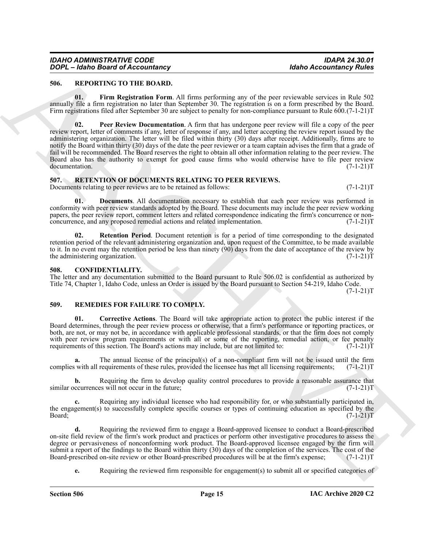#### <span id="page-14-6"></span><span id="page-14-0"></span>**506. REPORTING TO THE BOARD.**

<span id="page-14-8"></span><span id="page-14-7"></span>**01. Firm Registration Form**. All firms performing any of the peer reviewable services in Rule 502 annually file a firm registration no later than September 30. The registration is on a form prescribed by the Board. Firm registrations filed after September 30 are subject to penalty for non-compliance pursuant to Rule 600.(7-1-21)T

**EXAMPLE CONTROLLATEST**<br> **ARCHIVES TO THE BUSINESS PROFESSION INTERFERICANT CONTROLLATEST CONTROLLATEST**<br> **ARCHIVES TO THE CONTROLLATEST**<br> **ARCHIVES TO THE CONTROLLATEST**<br> **ARCHIVES TO THE CONTROLLATEST**<br> **ARCHIVES TO THE 02. Peer Review Documentation**. A firm that has undergone peer review will file a copy of the peer review report, letter of comments if any, letter of response if any, and letter accepting the review report issued by the administering organization. The letter will be filed within thirty (30) days after receipt. Additionally, firms are to notify the Board within thirty (30) days of the date the peer reviewer or a team captain advises the firm that a grade of fail will be recommended. The Board reserves the right to obtain all other information relating to the peer review. The Board also has the authority to exempt for good cause firms who would otherwise have to file peer review documentation. (7-1-21) documentation.

#### <span id="page-14-9"></span><span id="page-14-1"></span>**507. RETENTION OF DOCUMENTS RELATING TO PEER REVIEWS.** Documents relating to peer reviews are to be retained as follows: (7-1-21)T

**01. Documents**. All documentation necessary to establish that each peer review was performed in conformity with peer review standards adopted by the Board. These documents may include the peer review working papers, the peer review report, comment letters and related correspondence indicating the firm's concurrence or non-<br>concurrence, and any proposed remedial actions and related implementation. (7-1-21)T concurrence, and any proposed remedial actions and related implementation.

**02. Retention Period**. Document retention is for a period of time corresponding to the designated retention period of the relevant administering organization and, upon request of the Committee, to be made available to it. In no event may the retention period be less than ninety (90) days from the date of acceptance of the review by the administering organization.  $(7-1-21)$ the administering organization.

#### <span id="page-14-4"></span><span id="page-14-2"></span>**508. CONFIDENTIALITY.**

The letter and any documentation submitted to the Board pursuant to Rule 506.02 is confidential as authorized by Title 74, Chapter 1, Idaho Code, unless an Order is issued by the Board pursuant to Section 54-219, Idaho Code.

 $(7-1-21)T$ 

#### <span id="page-14-5"></span><span id="page-14-3"></span>**509. REMEDIES FOR FAILURE TO COMPLY.**

**01. Corrective Actions**. The Board will take appropriate action to protect the public interest if the Board determines, through the peer review process or otherwise, that a firm's performance or reporting practices, or both, are not, or may not be, in accordance with applicable professional standards, or that the firm does not comply with peer review program requirements or with all or some of the reporting, remedial action, or fee penalty requirements of this section. The Board's actions may include, but are not limited to:  $(7-1-21)$ T

**a.** The annual license of the principal(s) of a non-compliant firm will not be issued until the firm complies with all requirements of these rules, provided the licensee has met all licensing requirements; (7-1-21)T

**b.** Requiring the firm to develop quality control procedures to provide a reasonable assurance that ccurrences will not occur in the future;  $(7-1-21)$ similar occurrences will not occur in the future;

**c.** Requiring any individual licensee who had responsibility for, or who substantially participated in, the engagement(s) to successfully complete specific courses or types of continuing education as specified by the Board; (7-1-21)T

**d.** Requiring the reviewed firm to engage a Board-approved licensee to conduct a Board-prescribed on-site field review of the firm's work product and practices or perform other investigative procedures to assess the degree or pervasiveness of nonconforming work product. The Board-approved licensee engaged by the firm will submit a report of the findings to the Board within thirty (30) days of the completion of the services. The cost of the Board-prescribed on-site review or other Board-prescribed procedures will be at the firm's expense; (7-1-21)T

**e.** Requiring the reviewed firm responsible for engagement(s) to submit all or specified categories of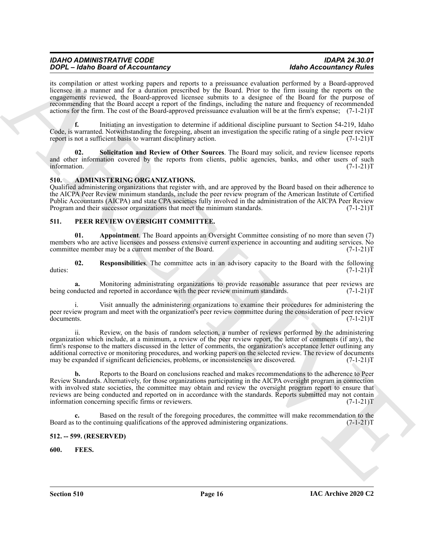| <b>IDAHO ADMINISTRATIVE CODE</b>         | <b>IDAPA 24.30.01</b>          |
|------------------------------------------|--------------------------------|
| <b>DOPL</b> - Idaho Board of Accountancy | <b>Idaho Accountancy Rules</b> |

its compilation or attest working papers and reports to a preissuance evaluation performed by a Board-approved licensee in a manner and for a duration prescribed by the Board. Prior to the firm issuing the reports on the engagements reviewed, the Board-approved licensee submits to a designee of the Board for the purpose of recommending that the Board accept a report of the findings, including the nature and frequency of recommended actions for the firm. The cost of the Board-approved preissuance evaluation will be at the firm's expense; (7-1-21)T

**f.** Initiating an investigation to determine if additional discipline pursuant to Section 54-219, Idaho Code, is warranted. Notwithstanding the foregoing, absent an investigation the specific rating of a single peer review report is not a sufficient basis to warrant disciplinary action. (7-1-21) T

**02. Solicitation and Review of Other Sources**. The Board may solicit, and review licensee reports and other information covered by the reports from clients, public agencies, banks, and other users of such information. (7-1-21)T information. (7-1-21)T

#### <span id="page-15-4"></span><span id="page-15-0"></span>**510. ADMINISTERING ORGANIZATIONS.**

Qualified administering organizations that register with, and are approved by the Board based on their adherence to the AICPA Peer Review minimum standards, include the peer review program of the American Institute of Certified Public Accountants (AICPA) and state CPA societies fully involved in the administration of the AICPA Peer Review Program and their successor organizations that meet the minimum standards. (7-1-21)T

#### <span id="page-15-6"></span><span id="page-15-1"></span>**511. PEER REVIEW OVERSIGHT COMMITTEE.**

**01. Appointment**. The Board appoints an Oversight Committee consisting of no more than seven (7) members who are active licensees and possess extensive current experience in accounting and auditing services. No committee member may be a current member of the Board. (7-1-21)T

**02.** Responsibilities. The committee acts in an advisory capacity to the Board with the following  $(7-1-21)$ T duties: (7-1-21)T

Monitoring administrating organizations to provide reasonable assurance that peer reviews are nd reported in accordance with the peer review minimum standards. (7-1-21)T being conducted and reported in accordance with the peer review minimum standards.

i. Visit annually the administering organizations to examine their procedures for administering the peer review program and meet with the organization's peer review committee during the consideration of peer review documents. (7-1-21) documents. (7-1-21)T

ii. Review, on the basis of random selection, a number of reviews performed by the administering organization which include, at a minimum, a review of the peer review report, the letter of comments (if any), the firm's response to the matters discussed in the letter of comments, the organization's acceptance letter outlining any additional corrective or monitoring procedures, and working papers on the selected review. The review of documents may be expanded if significant deficiencies, problems, or inconsistencies are discovered. (7-1-21)T

**SOME - Lake Statistical** and the spin of the spin of the spin of the spin of the spin of the spin of the spin of the spin of the spin of the spin of the spin of the spin of the spin of the spin of the spin of the spin of **b.** Reports to the Board on conclusions reached and makes recommendations to the adherence to Peer Review Standards. Alternatively, for those organizations participating in the AICPA oversight program in connection with involved state societies, the committee may obtain and review the oversight program report to ensure that reviews are being conducted and reported on in accordance with the standards. Reports submitted may not contain information concerning specific firms or reviewers. (7-1-21)T

**c.** Based on the result of the foregoing procedures, the committee will make recommendation to the to the continuing qualifications of the approved administering organizations. (7-1-21) Board as to the continuing qualifications of the approved administering organizations.

#### <span id="page-15-2"></span>**512. -- 599. (RESERVED)**

<span id="page-15-5"></span><span id="page-15-3"></span>**600. FEES.**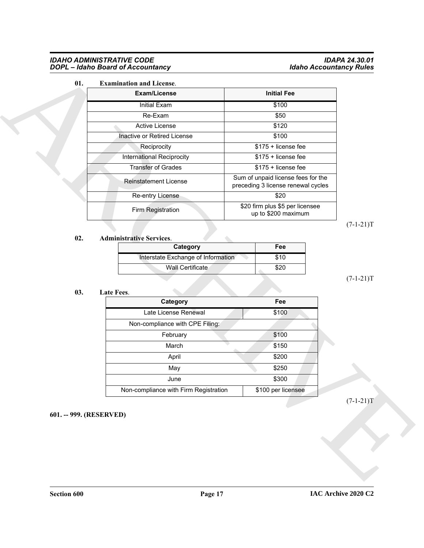#### *IDAHO ADMINISTRATIVE CODE IDAPA 24.30.01 DOPL – Idaho Board of Accountancy Idaho Accountancy Rules*

### <span id="page-16-2"></span>**01. Examination and License**.

| 01. | <b>Examination and License.</b>                        |                                                                          |             |
|-----|--------------------------------------------------------|--------------------------------------------------------------------------|-------------|
|     | Exam/License                                           | <b>Initial Fee</b>                                                       |             |
|     | <b>Initial Exam</b>                                    | \$100                                                                    |             |
|     | Re-Exam                                                | \$50                                                                     |             |
|     | Active License                                         | \$120                                                                    |             |
|     | Inactive or Retired License                            | \$100                                                                    |             |
|     | Reciprocity                                            | \$175 + license fee                                                      |             |
|     | International Reciprocity                              | \$175 + license fee                                                      |             |
|     | <b>Transfer of Grades</b>                              | \$175 + license fee                                                      |             |
|     | <b>Reinstatement License</b>                           | Sum of unpaid license fees for the<br>preceding 3 license renewal cycles |             |
|     | Re-entry License                                       | \$20                                                                     |             |
|     | Firm Registration                                      | \$20 firm plus \$5 per licensee<br>up to \$200 maximum                   |             |
|     |                                                        |                                                                          | $(7-1-21)T$ |
|     |                                                        |                                                                          |             |
| 02. | <b>Administrative Services.</b>                        |                                                                          |             |
|     | Category                                               | Fee<br>\$10                                                              |             |
|     | Interstate Exchange of Information<br>Wall Certificate | \$20                                                                     | $(7-1-21)T$ |
| 03. | Late Fees.                                             |                                                                          |             |
|     | Category                                               | Fee                                                                      |             |
|     | Late License Renewal                                   | \$100                                                                    |             |
|     | Non-compliance with CPE Filing:                        |                                                                          |             |
|     | February                                               | \$100                                                                    |             |
|     | March                                                  | \$150                                                                    |             |
|     | April                                                  | \$200                                                                    |             |
|     | May                                                    | \$250                                                                    |             |
|     | June<br>Non-compliance with Firm Registration          | \$300<br>\$100 per licensee                                              |             |

## $(7-1-21)T$

#### **02. Administrative Services**.

<span id="page-16-1"></span>

| Category                           | Fee  |
|------------------------------------|------|
| Interstate Exchange of Information | \$10 |
| Wall Certificate                   | \$20 |

#### **03. Late Fees**.

<span id="page-16-3"></span>

| Category                              | Fee                |
|---------------------------------------|--------------------|
| Late License Renewal                  | \$100              |
| Non-compliance with CPE Filing:       |                    |
| February                              | \$100              |
| March                                 | \$150              |
| April                                 | \$200              |
| May                                   | \$250              |
| June                                  | \$300              |
| Non-compliance with Firm Registration | \$100 per licensee |

#### <span id="page-16-0"></span>**601. -- 999. (RESERVED)**